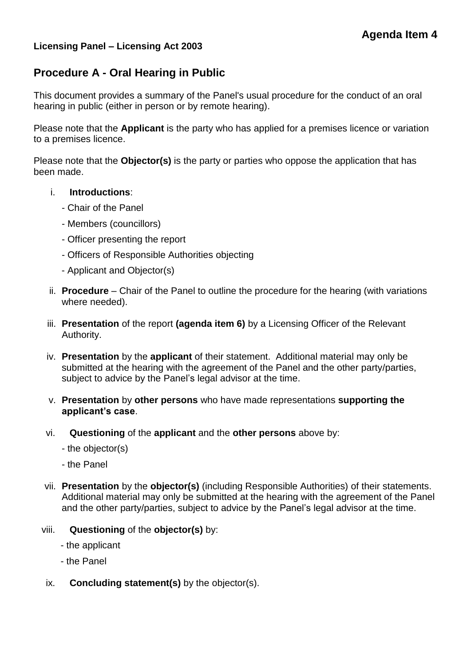# **Licensing Panel – Licensing Act 2003**

# **Procedure A - Oral Hearing in Public**

This document provides a summary of the Panel's usual procedure for the conduct of an oral hearing in public (either in person or by remote hearing).

Please note that the **Applicant** is the party who has applied for a premises licence or variation to a premises licence.

Please note that the **Objector(s)** is the party or parties who oppose the application that has been made.

## i. **Introductions**:

- Chair of the Panel
- Members (councillors)
- Officer presenting the report
- Officers of Responsible Authorities objecting
- Applicant and Objector(s)
- ii. **Procedure**  Chair of the Panel to outline the procedure for the hearing (with variations where needed).
- iii. **Presentation** of the report **(agenda item 6)** by a Licensing Officer of the Relevant Authority.
- iv. **Presentation** by the **applicant** of their statement. Additional material may only be submitted at the hearing with the agreement of the Panel and the other party/parties, subject to advice by the Panel's legal advisor at the time.
- v. **Presentation** by **other persons** who have made representations **supporting the applicant's case**.
- vi. **Questioning** of the **applicant** and the **other persons** above by:
	- the objector(s)
	- the Panel
- vii. **Presentation** by the **objector(s)** (including Responsible Authorities) of their statements. Additional material may only be submitted at the hearing with the agreement of the Panel and the other party/parties, subject to advice by the Panel's legal advisor at the time.
- viii. **Questioning** of the **objector(s)** by:
	- the applicant
	- the Panel
- ix. **Concluding statement(s)** by the objector(s).